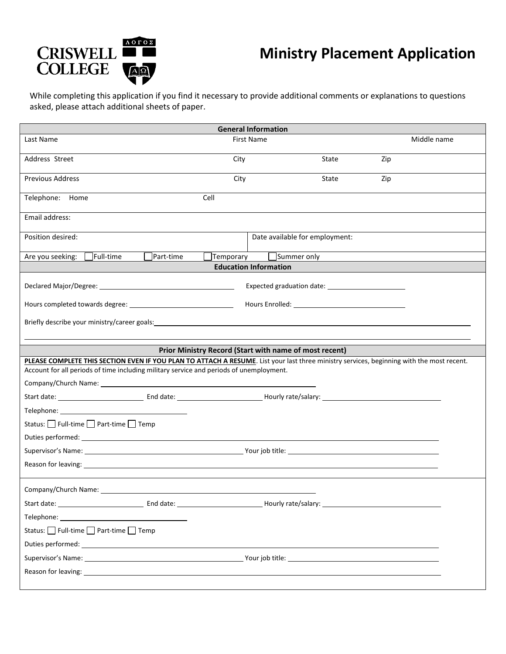

## **Ministry Placement Application**

While completing this application if you find it necessary to provide additional comments or explanations to questions asked, please attach additional sheets of paper.

| <b>General Information</b>                                                                                                                                                                                                           |                   |                                                        |       |     |             |  |  |  |
|--------------------------------------------------------------------------------------------------------------------------------------------------------------------------------------------------------------------------------------|-------------------|--------------------------------------------------------|-------|-----|-------------|--|--|--|
| Last Name                                                                                                                                                                                                                            | <b>First Name</b> |                                                        |       |     | Middle name |  |  |  |
| Address Street                                                                                                                                                                                                                       | City              |                                                        | State | Zip |             |  |  |  |
| <b>Previous Address</b>                                                                                                                                                                                                              | City              |                                                        | State | Zip |             |  |  |  |
| Telephone: Home                                                                                                                                                                                                                      | Cell              |                                                        |       |     |             |  |  |  |
| Email address:                                                                                                                                                                                                                       |                   |                                                        |       |     |             |  |  |  |
| Position desired:                                                                                                                                                                                                                    |                   | Date available for employment:                         |       |     |             |  |  |  |
| Full-time<br>Part-time<br>Are you seeking:                                                                                                                                                                                           | Temporary         | Summer only                                            |       |     |             |  |  |  |
| <b>Education Information</b>                                                                                                                                                                                                         |                   |                                                        |       |     |             |  |  |  |
| Declared Major/Degree: National Assemblance of the Contract of the Contract of the Contract of the Contract of                                                                                                                       |                   |                                                        |       |     |             |  |  |  |
|                                                                                                                                                                                                                                      |                   |                                                        |       |     |             |  |  |  |
| Briefly describe your ministry/career goals: example and a state of the state of the state of the state of the state of the state of the state of the state of the state of the state of the state of the state of the state o       |                   |                                                        |       |     |             |  |  |  |
|                                                                                                                                                                                                                                      |                   |                                                        |       |     |             |  |  |  |
|                                                                                                                                                                                                                                      |                   | Prior Ministry Record (Start with name of most recent) |       |     |             |  |  |  |
| PLEASE COMPLETE THIS SECTION EVEN IF YOU PLAN TO ATTACH A RESUME. List your last three ministry services, beginning with the most recent.<br>Account for all periods of time including military service and periods of unemployment. |                   |                                                        |       |     |             |  |  |  |
|                                                                                                                                                                                                                                      |                   |                                                        |       |     |             |  |  |  |
|                                                                                                                                                                                                                                      |                   |                                                        |       |     |             |  |  |  |
|                                                                                                                                                                                                                                      |                   |                                                        |       |     |             |  |  |  |
| Status: Full-time nert-time neral Temp                                                                                                                                                                                               |                   |                                                        |       |     |             |  |  |  |
|                                                                                                                                                                                                                                      |                   |                                                        |       |     |             |  |  |  |
|                                                                                                                                                                                                                                      |                   |                                                        |       |     |             |  |  |  |
| Reason for leaving: example and a series of the series of the series of the series of the series of the series                                                                                                                       |                   |                                                        |       |     |             |  |  |  |
| Company/Church Name:                                                                                                                                                                                                                 |                   |                                                        |       |     |             |  |  |  |
|                                                                                                                                                                                                                                      |                   |                                                        |       |     |             |  |  |  |
| Telephone: The contract of the contract of the contract of the contract of the contract of the contract of the                                                                                                                       |                   |                                                        |       |     |             |  |  |  |
| Status: Full-time Part-time T Temp                                                                                                                                                                                                   |                   |                                                        |       |     |             |  |  |  |
|                                                                                                                                                                                                                                      |                   |                                                        |       |     |             |  |  |  |
|                                                                                                                                                                                                                                      |                   |                                                        |       |     |             |  |  |  |
|                                                                                                                                                                                                                                      |                   |                                                        |       |     |             |  |  |  |
|                                                                                                                                                                                                                                      |                   |                                                        |       |     |             |  |  |  |